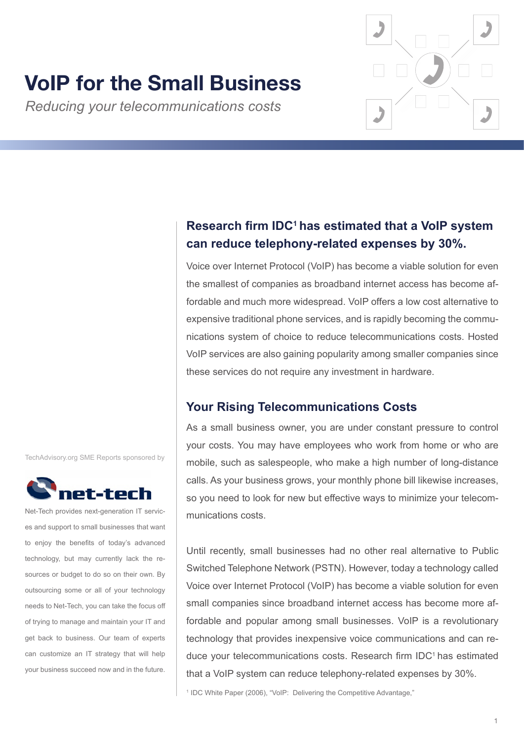# **VoIP for the Small Business**

*Reducing your telecommunications costs*



Voice over Internet Protocol (VoIP) has become a viable solution for even the smallest of companies as broadband internet access has become affordable and much more widespread. VoIP offers a low cost alternative to expensive traditional phone services, and is rapidly becoming the communications system of choice to reduce telecommunications costs. Hosted VoIP services are also gaining popularity among smaller companies since these services do not require any investment in hardware.

# **Your Rising Telecommunications Costs**

As a small business owner, you are under constant pressure to control your costs. You may have employees who work from home or who are mobile, such as salespeople, who make a high number of long-distance calls. As your business grows, your monthly phone bill likewise increases, so you need to look for new but effective ways to minimize your telecommunications costs.

Until recently, small businesses had no other real alternative to Public Switched Telephone Network (PSTN). However, today a technology called Voice over Internet Protocol (VoIP) has become a viable solution for even small companies since broadband internet access has become more affordable and popular among small businesses. VoIP is a revolutionary technology that provides inexpensive voice communications and can reduce your telecommunications costs. Research firm IDC<sup>1</sup> has estimated that a VoIP system can reduce telephony-related expenses by 30%.

<sup>1</sup> IDC White Paper (2006), "VoIP: Delivering the Competitive Advantage,"

TechAdvisory.org SME Reports sponsored by



Net-Tech provides next-generation IT services and support to small businesses that want to enjoy the benefits of today's advanced technology, but may currently lack the resources or budget to do so on their own. By outsourcing some or all of your technology needs to Net-Tech, you can take the focus off of trying to manage and maintain your IT and get back to business. Our team of experts can customize an IT strategy that will help your business succeed now and in the future.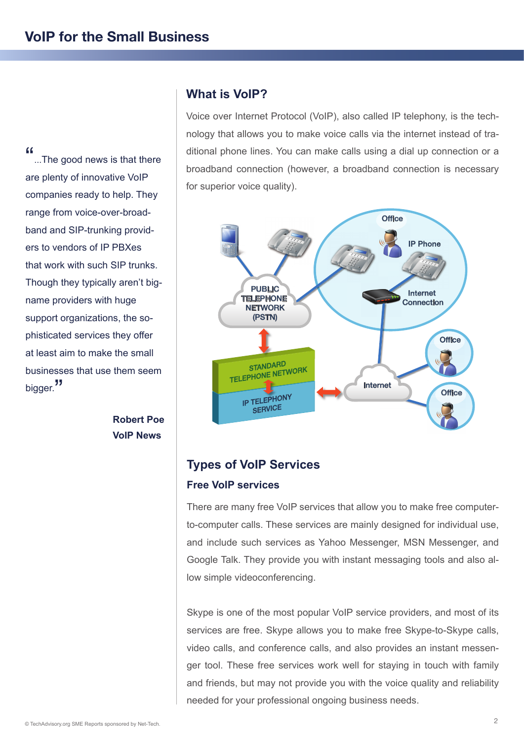"...The good news is that there are plenty of innovative VoIP companies ready to help. They range from voice-over-broadband and SIP-trunking providers to vendors of IP PBXes that work with such SIP trunks. Though they typically aren't bigname providers with huge support organizations, the sophisticated services they offer at least aim to make the small businesses that use them seem bigger."

> **Robert Poe VoIP News**

# **What is VoIP?**

Voice over Internet Protocol (VoIP), also called IP telephony, is the technology that allows you to make voice calls via the internet instead of traditional phone lines. You can make calls using a dial up connection or a broadband connection (however, a broadband connection is necessary for superior voice quality).



# **Types of VoIP Services Free VoIP services**

There are many free VoIP services that allow you to make free computerto-computer calls. These services are mainly designed for individual use, and include such services as Yahoo Messenger, MSN Messenger, and Google Talk. They provide you with instant messaging tools and also allow simple videoconferencing.

Skype is one of the most popular VoIP service providers, and most of its services are free. Skype allows you to make free Skype-to-Skype calls, video calls, and conference calls, and also provides an instant messenger tool. These free services work well for staying in touch with family and friends, but may not provide you with the voice quality and reliability needed for your professional ongoing business needs.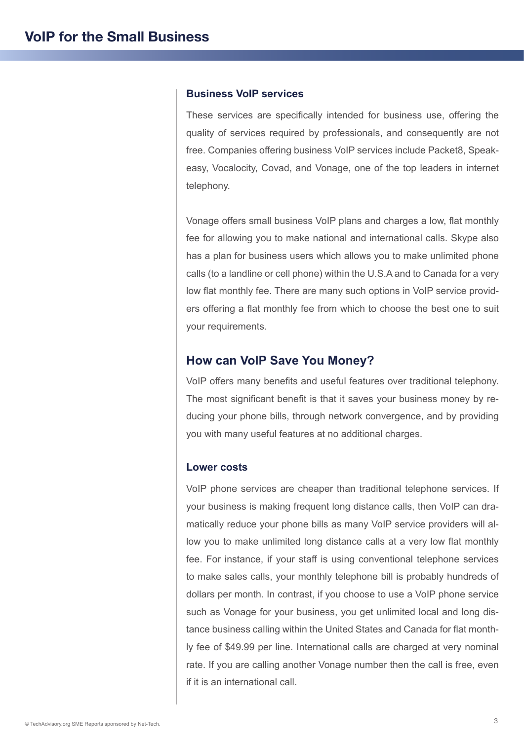## **Business VoIP services**

These services are specifically intended for business use, offering the quality of services required by professionals, and consequently are not free. Companies offering business VoIP services include Packet8, Speakeasy, Vocalocity, Covad, and Vonage, one of the top leaders in internet telephony.

Vonage offers small business VoIP plans and charges a low, flat monthly fee for allowing you to make national and international calls. Skype also has a plan for business users which allows you to make unlimited phone calls (to a landline or cell phone) within the U.S.A and to Canada for a very low flat monthly fee. There are many such options in VoIP service providers offering a flat monthly fee from which to choose the best one to suit your requirements.

## **How can VoIP Save You Money?**

VoIP offers many benefits and useful features over traditional telephony. The most significant benefit is that it saves your business money by reducing your phone bills, through network convergence, and by providing you with many useful features at no additional charges.

## **Lower costs**

VoIP phone services are cheaper than traditional telephone services. If your business is making frequent long distance calls, then VoIP can dramatically reduce your phone bills as many VoIP service providers will allow you to make unlimited long distance calls at a very low flat monthly fee. For instance, if your staff is using conventional telephone services to make sales calls, your monthly telephone bill is probably hundreds of dollars per month. In contrast, if you choose to use a VoIP phone service such as Vonage for your business, you get unlimited local and long distance business calling within the United States and Canada for flat monthly fee of \$49.99 per line. International calls are charged at very nominal rate. If you are calling another Vonage number then the call is free, even if it is an international call.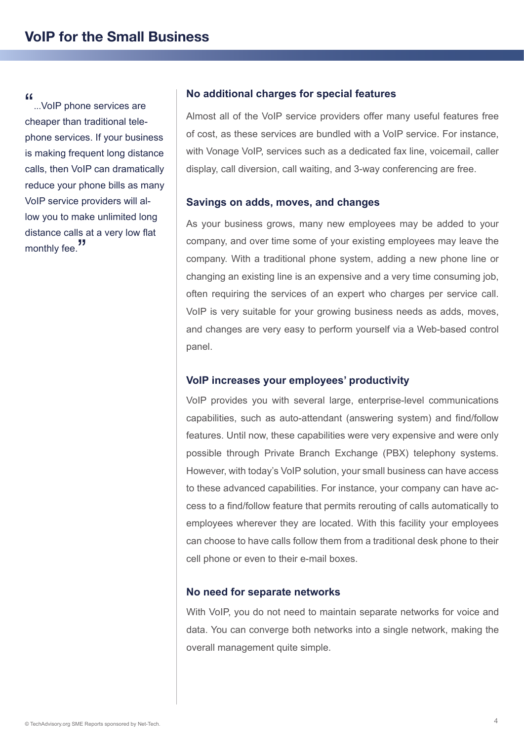"...VoIP phone services are cheaper than traditional telephone services. If your business is making frequent long distance calls, then VoIP can dramatically reduce your phone bills as many VoIP service providers will allow you to make unlimited long distance calls at a very low flat monthly fee.<sup>"</sup>

## **No additional charges for special features**

Almost all of the VoIP service providers offer many useful features free of cost, as these services are bundled with a VoIP service. For instance, with Vonage VoIP, services such as a dedicated fax line, voicemail, caller display, call diversion, call waiting, and 3-way conferencing are free.

#### **Savings on adds, moves, and changes**

As your business grows, many new employees may be added to your company, and over time some of your existing employees may leave the company. With a traditional phone system, adding a new phone line or changing an existing line is an expensive and a very time consuming job, often requiring the services of an expert who charges per service call. VoIP is very suitable for your growing business needs as adds, moves, and changes are very easy to perform yourself via a Web-based control panel.

#### **VoIP increases your employees' productivity**

VoIP provides you with several large, enterprise-level communications capabilities, such as auto-attendant (answering system) and find/follow features. Until now, these capabilities were very expensive and were only possible through Private Branch Exchange (PBX) telephony systems. However, with today's VoIP solution, your small business can have access to these advanced capabilities. For instance, your company can have access to a find/follow feature that permits rerouting of calls automatically to employees wherever they are located. With this facility your employees can choose to have calls follow them from a traditional desk phone to their cell phone or even to their e-mail boxes.

#### **No need for separate networks**

With VoIP, you do not need to maintain separate networks for voice and data. You can converge both networks into a single network, making the overall management quite simple.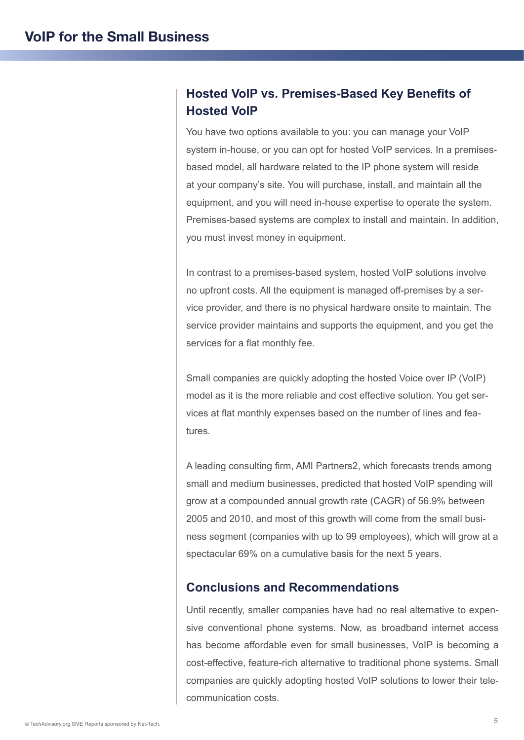# **Hosted VoIP vs. Premises-Based Key Benefits of Hosted VoIP**

You have two options available to you: you can manage your VoIP system in-house, or you can opt for hosted VoIP services. In a premisesbased model, all hardware related to the IP phone system will reside at your company's site. You will purchase, install, and maintain all the equipment, and you will need in-house expertise to operate the system. Premises-based systems are complex to install and maintain. In addition, you must invest money in equipment.

In contrast to a premises-based system, hosted VoIP solutions involve no upfront costs. All the equipment is managed off-premises by a service provider, and there is no physical hardware onsite to maintain. The service provider maintains and supports the equipment, and you get the services for a flat monthly fee.

Small companies are quickly adopting the hosted Voice over IP (VoIP) model as it is the more reliable and cost effective solution. You get services at flat monthly expenses based on the number of lines and features.

A leading consulting firm, AMI Partners2, which forecasts trends among small and medium businesses, predicted that hosted VoIP spending will grow at a compounded annual growth rate (CAGR) of 56.9% between 2005 and 2010, and most of this growth will come from the small business segment (companies with up to 99 employees), which will grow at a spectacular 69% on a cumulative basis for the next 5 years.

# **Conclusions and Recommendations**

Until recently, smaller companies have had no real alternative to expensive conventional phone systems. Now, as broadband internet access has become affordable even for small businesses, VoIP is becoming a cost-effective, feature-rich alternative to traditional phone systems. Small companies are quickly adopting hosted VoIP solutions to lower their telecommunication costs.